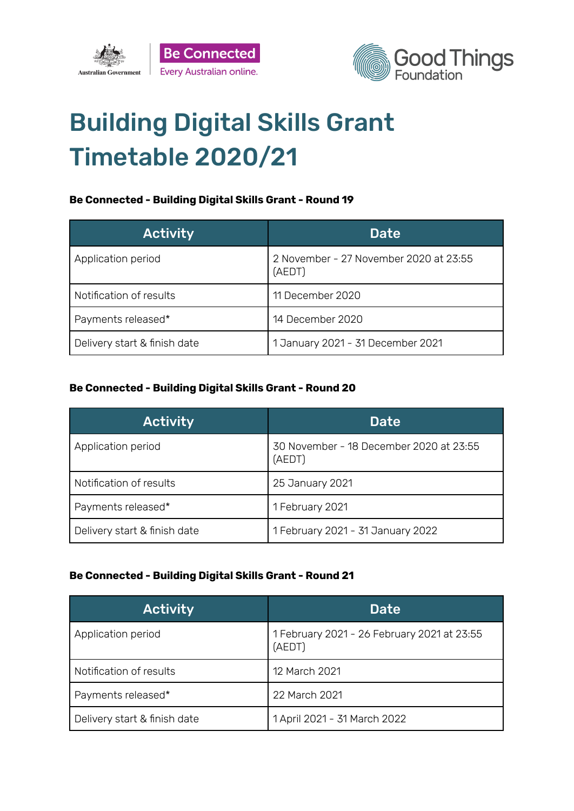



# Building Digital Skills Grant Timetable 2020/21

#### **Be Connected - Building Digital Skills Grant - Round 19**

| <b>Activity</b>              | <b>Date</b>                                      |
|------------------------------|--------------------------------------------------|
| Application period           | 2 November - 27 November 2020 at 23:55<br>(AEDT) |
| Notification of results      | 11 December 2020                                 |
| Payments released*           | 14 December 2020                                 |
| Delivery start & finish date | 1 January 2021 - 31 December 2021                |

#### **Be Connected - Building Digital Skills Grant - Round 20**

| <b>Activity</b>              | <b>Date</b>                                       |
|------------------------------|---------------------------------------------------|
| Application period           | 30 November - 18 December 2020 at 23:55<br>(AEDT) |
| Notification of results      | 25 January 2021                                   |
| Payments released*           | 1 February 2021                                   |
| Delivery start & finish date | 1 February 2021 - 31 January 2022                 |

#### **Be Connected - Building Digital Skills Grant - Round 21**

| <b>Activity</b>              | <b>Date</b>                                           |
|------------------------------|-------------------------------------------------------|
| Application period           | 1 February 2021 - 26 February 2021 at 23:55<br>(AEDT) |
| Notification of results      | 12 March 2021                                         |
| Payments released*           | 22 March 2021                                         |
| Delivery start & finish date | 1 April 2021 - 31 March 2022                          |